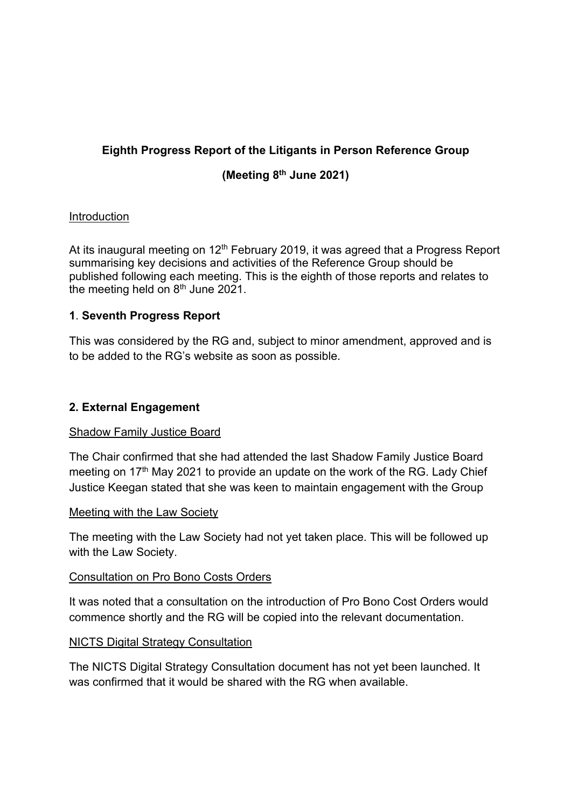# **Eighth Progress Report of the Litigants in Person Reference Group**

# **(Meeting 8th June 2021)**

## Introduction

At its inaugural meeting on  $12<sup>th</sup>$  February 2019, it was agreed that a Progress Report summarising key decisions and activities of the Reference Group should be published following each meeting. This is the eighth of those reports and relates to the meeting held on 8<sup>th</sup> June 2021.

### **1**. **Seventh Progress Report**

This was considered by the RG and, subject to minor amendment, approved and is to be added to the RG's website as soon as possible.

### **2. External Engagement**

#### Shadow Family Justice Board

The Chair confirmed that she had attended the last Shadow Family Justice Board meeting on 17<sup>th</sup> May 2021 to provide an update on the work of the RG. Lady Chief Justice Keegan stated that she was keen to maintain engagement with the Group

#### Meeting with the Law Society

The meeting with the Law Society had not yet taken place. This will be followed up with the Law Society.

#### Consultation on Pro Bono Costs Orders

It was noted that a consultation on the introduction of Pro Bono Cost Orders would commence shortly and the RG will be copied into the relevant documentation.

#### NICTS Digital Strategy Consultation

The NICTS Digital Strategy Consultation document has not yet been launched. It was confirmed that it would be shared with the RG when available.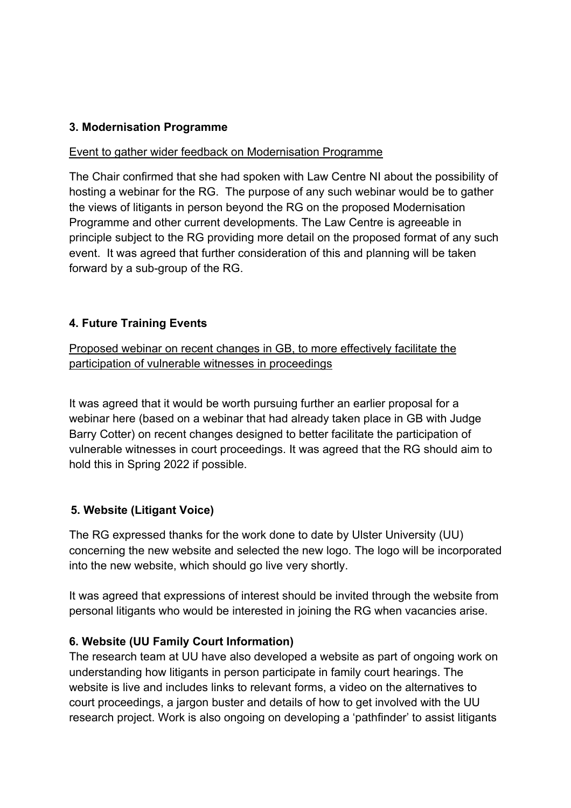### **3. Modernisation Programme**

#### Event to gather wider feedback on Modernisation Programme

The Chair confirmed that she had spoken with Law Centre NI about the possibility of hosting a webinar for the RG. The purpose of any such webinar would be to gather the views of litigants in person beyond the RG on the proposed Modernisation Programme and other current developments. The Law Centre is agreeable in principle subject to the RG providing more detail on the proposed format of any such event. It was agreed that further consideration of this and planning will be taken forward by a sub-group of the RG.

## **4. Future Training Events**

Proposed webinar on recent changes in GB, to more effectively facilitate the participation of vulnerable witnesses in proceedings

It was agreed that it would be worth pursuing further an earlier proposal for a webinar here (based on a webinar that had already taken place in GB with Judge Barry Cotter) on recent changes designed to better facilitate the participation of vulnerable witnesses in court proceedings. It was agreed that the RG should aim to hold this in Spring 2022 if possible.

#### **5. Website (Litigant Voice)**

The RG expressed thanks for the work done to date by Ulster University (UU) concerning the new website and selected the new logo. The logo will be incorporated into the new website, which should go live very shortly.

It was agreed that expressions of interest should be invited through the website from personal litigants who would be interested in joining the RG when vacancies arise.

## **6. Website (UU Family Court Information)**

The research team at UU have also developed a website as part of ongoing work on understanding how litigants in person participate in family court hearings. The website is live and includes links to relevant forms, a video on the alternatives to court proceedings, a jargon buster and details of how to get involved with the UU research project. Work is also ongoing on developing a 'pathfinder' to assist litigants